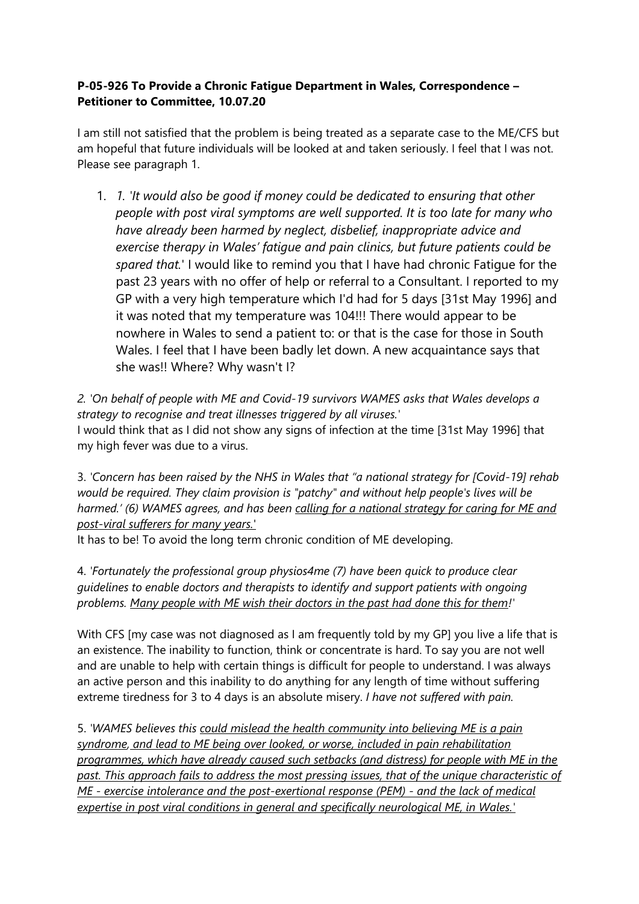## **P-05-926 To Provide a Chronic Fatigue Department in Wales, Correspondence – Petitioner to Committee, 10.07.20**

I am still not satisfied that the problem is being treated as a separate case to the ME/CFS but am hopeful that future individuals will be looked at and taken seriously. I feel that I was not. Please see paragraph 1.

1. *1. 'It would also be good if money could be dedicated to ensuring that other people with post viral symptoms are well supported. It is too late for many who have already been harmed by neglect, disbelief, inappropriate advice and exercise therapy in Wales' fatigue and pain clinics, but future patients could be spared that.*' I would like to remind you that I have had chronic Fatigue for the past 23 years with no offer of help or referral to a Consultant. I reported to my GP with a very high temperature which I'd had for 5 days [31st May 1996] and it was noted that my temperature was 104!!! There would appear to be nowhere in Wales to send a patient to: or that is the case for those in South Wales. I feel that I have been badly let down. A new acquaintance says that she was!! Where? Why wasn't I?

*2. 'On behalf of people with ME and Covid-19 survivors WAMES asks that Wales develops a strategy to recognise and treat illnesses triggered by all viruses.'*  I would think that as I did not show any signs of infection at the time [31st May 1996] that my high fever was due to a virus.

3. *'Concern has been raised by the NHS in Wales that "a national strategy for [Covid-19] rehab would be required. They claim provision is "patchy" and without help people's lives will be harmed.' (6) WAMES agrees, and has been calling for a national strategy for caring for ME and post-viral sufferers for many years.*'

It has to be! To avoid the long term chronic condition of ME developing.

4. *'Fortunately the professional group physios4me (7) have been quick to produce clear guidelines to enable doctors and therapists to identify and support patients with ongoing problems. Many people with ME wish their doctors in the past had done this for them!'*

With CFS [my case was not diagnosed as I am frequently told by my GP] you live a life that is an existence. The inability to function, think or concentrate is hard. To say you are not well and are unable to help with certain things is difficult for people to understand. I was always an active person and this inability to do anything for any length of time without suffering extreme tiredness for 3 to 4 days is an absolute misery. *I have not suffered with pain.*

5. *'WAMES believes this could mislead the health community into believing ME is a pain syndrome, and lead to ME being over looked, or worse, included in pain rehabilitation programmes, which have already caused such setbacks (and distress) for people with ME in the past. This approach fails to address the most pressing issues, that of the unique characteristic of ME - exercise intolerance and the post-exertional response (PEM) - and the lack of medical expertise in post viral conditions in general and specifically neurological ME, in Wales.'*